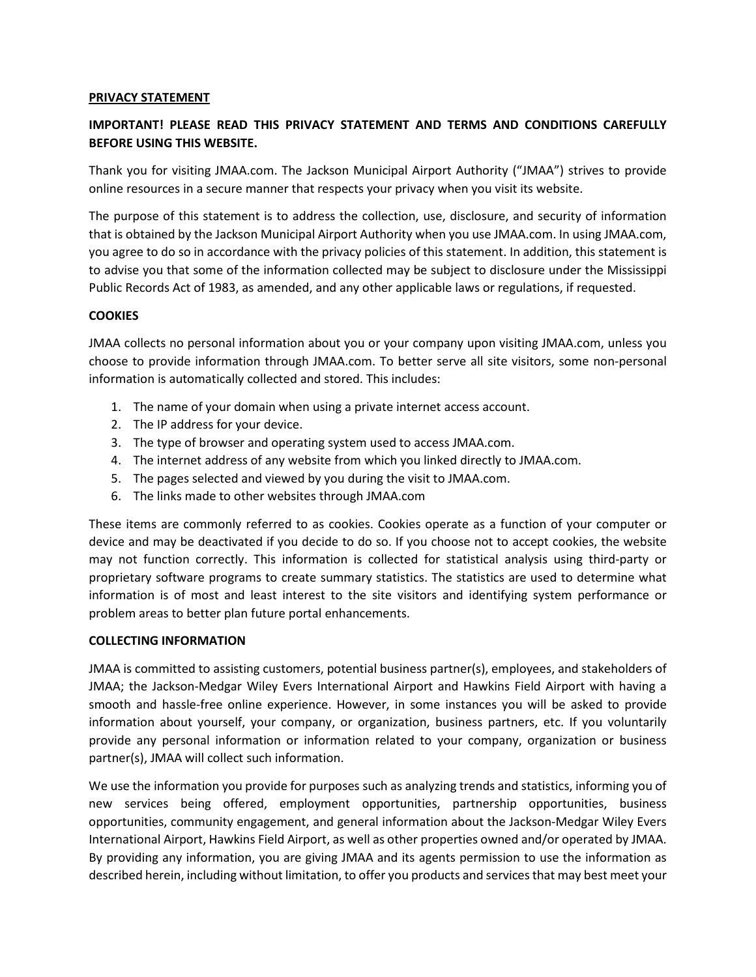#### **PRIVACY STATEMENT**

# **IMPORTANT! PLEASE READ THIS PRIVACY STATEMENT AND TERMS AND CONDITIONS CAREFULLY BEFORE USING THIS WEBSITE.**

Thank you for visiting JMAA.com. The Jackson Municipal Airport Authority ("JMAA") strives to provide online resources in a secure manner that respects your privacy when you visit its website.

The purpose of this statement is to address the collection, use, disclosure, and security of information that is obtained by the Jackson Municipal Airport Authority when you use JMAA.com. In using JMAA.com, you agree to do so in accordance with the privacy policies of this statement. In addition, this statement is to advise you that some of the information collected may be subject to disclosure under the Mississippi Public Records Act of 1983, as amended, and any other applicable laws or regulations, if requested.

#### **COOKIES**

JMAA collects no personal information about you or your company upon visiting JMAA.com, unless you choose to provide information through JMAA.com. To better serve all site visitors, some non-personal information is automatically collected and stored. This includes:

- 1. The name of your domain when using a private internet access account.
- 2. The IP address for your device.
- 3. The type of browser and operating system used to access JMAA.com.
- 4. The internet address of any website from which you linked directly to JMAA.com.
- 5. The pages selected and viewed by you during the visit to JMAA.com.
- 6. The links made to other websites through JMAA.com

These items are commonly referred to as cookies. Cookies operate as a function of your computer or device and may be deactivated if you decide to do so. If you choose not to accept cookies, the website may not function correctly. This information is collected for statistical analysis using third-party or proprietary software programs to create summary statistics. The statistics are used to determine what information is of most and least interest to the site visitors and identifying system performance or problem areas to better plan future portal enhancements.

## **COLLECTING INFORMATION**

JMAA is committed to assisting customers, potential business partner(s), employees, and stakeholders of JMAA; the Jackson-Medgar Wiley Evers International Airport and Hawkins Field Airport with having a smooth and hassle-free online experience. However, in some instances you will be asked to provide information about yourself, your company, or organization, business partners, etc. If you voluntarily provide any personal information or information related to your company, organization or business partner(s), JMAA will collect such information.

We use the information you provide for purposes such as analyzing trends and statistics, informing you of new services being offered, employment opportunities, partnership opportunities, business opportunities, community engagement, and general information about the Jackson-Medgar Wiley Evers International Airport, Hawkins Field Airport, as well as other properties owned and/or operated by JMAA. By providing any information, you are giving JMAA and its agents permission to use the information as described herein, including without limitation, to offer you products and services that may best meet your